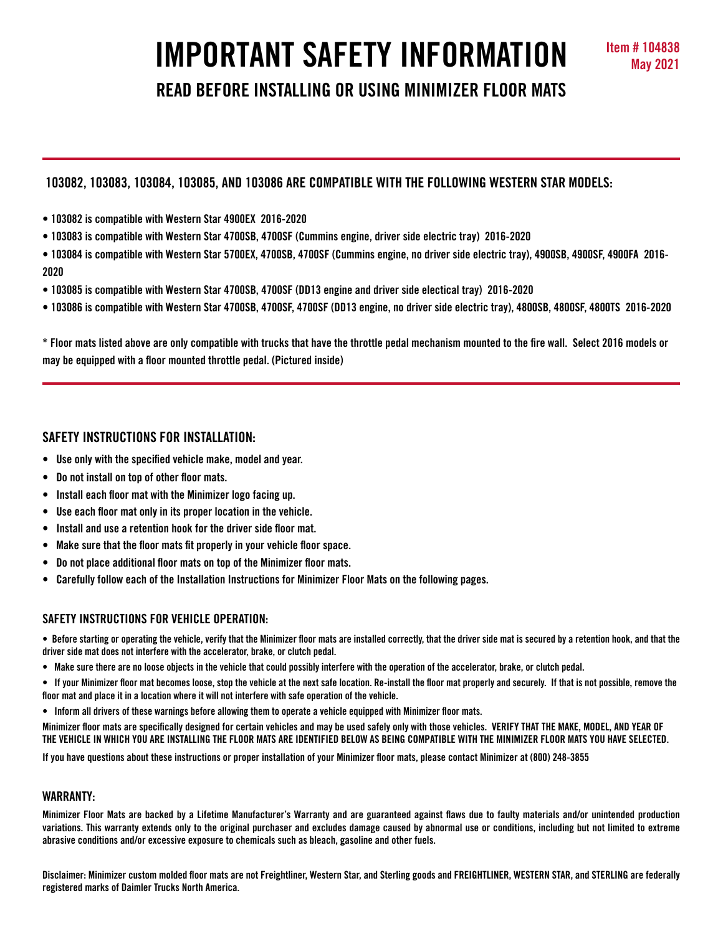# **IMPORTANT SAFETY INFORMATION May 2021**

**READ BEFORE INSTALLING OR USING MINIMIZER FLOOR MATS**

# **103082, 103083, 103084, 103085, AND 103086 ARE COMPATIBLE WITH THE FOLLOWING WESTERN STAR MODELS:**

- **103082 is compatible with Western Star 4900EX 2016-2020**
- **103083 is compatible with Western Star 4700SB, 4700SF (Cummins engine, driver side electric tray) 2016-2020**

**• 103084 is compatible with Western Star 5700EX, 4700SB, 4700SF (Cummins engine, no driver side electric tray), 4900SB, 4900SF, 4900FA 2016- 2020**

- **103085 is compatible with Western Star 4700SB, 4700SF (DD13 engine and driver side electical tray) 2016-2020**
- **103086 is compatible with Western Star 4700SB, 4700SF, 4700SF (DD13 engine, no driver side electric tray), 4800SB, 4800SF, 4800TS 2016-2020**

**\* Floor mats listed above are only compatible with trucks that have the throttle pedal mechanism mounted to the fire wall. Select 2016 models or may be equipped with a floor mounted throttle pedal. (Pictured inside)**

# **SAFETY INSTRUCTIONS FOR INSTALLATION:**

- **Use only with the specified vehicle make, model and year.**
- **Do not install on top of other floor mats.**
- **Install each floor mat with the Minimizer logo facing up.**
- **Use each floor mat only in its proper location in the vehicle.**
- **Install and use a retention hook for the driver side floor mat.**
- **Make sure that the floor mats fit properly in your vehicle floor space.**
- **Do not place additional floor mats on top of the Minimizer floor mats.**
- **Carefully follow each of the Installation Instructions for Minimizer Floor Mats on the following pages.**

## **SAFETY INSTRUCTIONS FOR VEHICLE OPERATION:**

**• Before starting or operating the vehicle, verify that the Minimizer floor mats are installed correctly, that the driver side mat is secured by a retention hook, and that the driver side mat does not interfere with the accelerator, brake, or clutch pedal.**

- **Make sure there are no loose objects in the vehicle that could possibly interfere with the operation of the accelerator, brake, or clutch pedal.**
- **If your Minimizer floor mat becomes loose, stop the vehicle at the next safe location. Re-install the floor mat properly and securely. If that is not possible, remove the floor mat and place it in a location where it will not interfere with safe operation of the vehicle.**
- **Inform all drivers of these warnings before allowing them to operate a vehicle equipped with Minimizer floor mats.**

**Minimizer floor mats are specifically designed for certain vehicles and may be used safely only with those vehicles. VERIFY THAT THE MAKE, MODEL, AND YEAR OF THE VEHICLE IN WHICH YOU ARE INSTALLING THE FLOOR MATS ARE IDENTIFIED BELOW AS BEING COMPATIBLE WITH THE MINIMIZER FLOOR MATS YOU HAVE SELECTED.** 

**If you have questions about these instructions or proper installation of your Minimizer floor mats, please contact Minimizer at (800) 248-3855**

## **WARRANTY:**

**Minimizer Floor Mats are backed by a Lifetime Manufacturer's Warranty and are guaranteed against flaws due to faulty materials and/or unintended production variations. This warranty extends only to the original purchaser and excludes damage caused by abnormal use or conditions, including but not limited to extreme abrasive conditions and/or excessive exposure to chemicals such as bleach, gasoline and other fuels.**

**Disclaimer: Minimizer custom molded floor mats are not Freightliner, Western Star, and Sterling goods and FREIGHTLINER, WESTERN STAR, and STERLING are federally registered marks of Daimler Trucks North America.**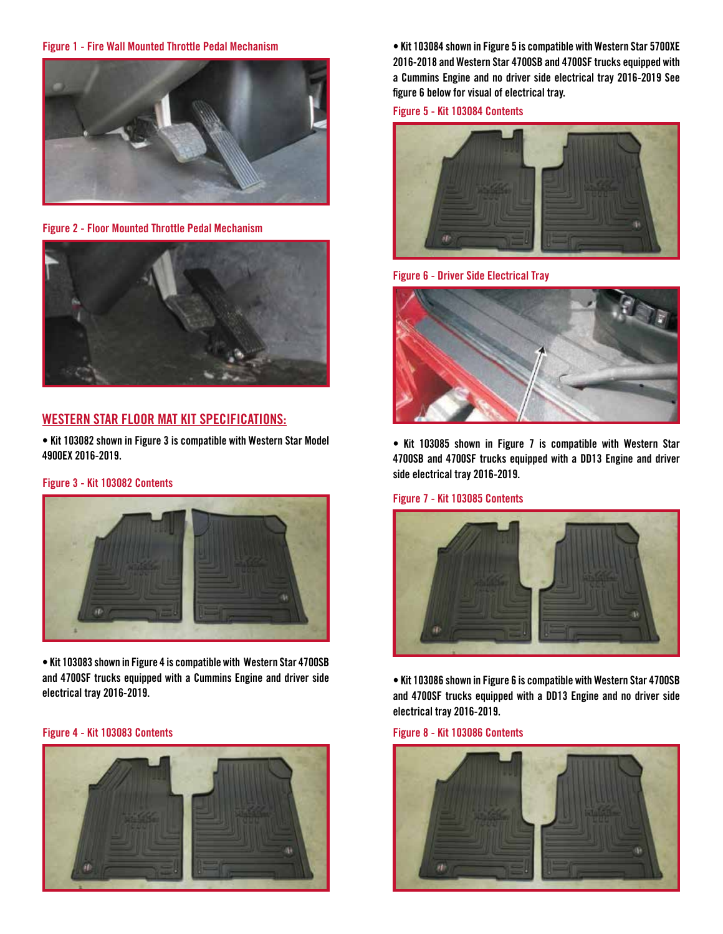#### **Figure 1 - Fire Wall Mounted Throttle Pedal Mechanism**



**Figure 2 - Floor Mounted Throttle Pedal Mechanism**



# **WESTERN STAR FLOOR MAT KIT SPECIFICATIONS:**

**• Kit 103082 shown in Figure 3 is compatible with Western Star Model 4900EX 2016-2019.**

## **Figure 3 - Kit 103082 Contents**



**• Kit 103083 shown in Figure 4 is compatible with Western Star 4700SB and 4700SF trucks equipped with a Cummins Engine and driver side electrical tray 2016-2019.**

#### **Figure 4 - Kit 103083 Contents Figure 8 - Kit 103086 Contents**



**• Kit 103084 shown in Figure 5 is compatible with Western Star 5700XE 2016-2018 and Western Star 4700SB and 4700SF trucks equipped with a Cummins Engine and no driver side electrical tray 2016-2019 See figure 6 below for visual of electrical tray.**

**Figure 5 - Kit 103084 Contents**



**Figure 6 - Driver Side Electrical Tray**



**• Kit 103085 shown in Figure 7 is compatible with Western Star 4700SB and 4700SF trucks equipped with a DD13 Engine and driver side electrical tray 2016-2019.**

## **Figure 7 - Kit 103085 Contents**



**• Kit 103086 shown in Figure 6 is compatible with Western Star 4700SB and 4700SF trucks equipped with a DD13 Engine and no driver side electrical tray 2016-2019.**

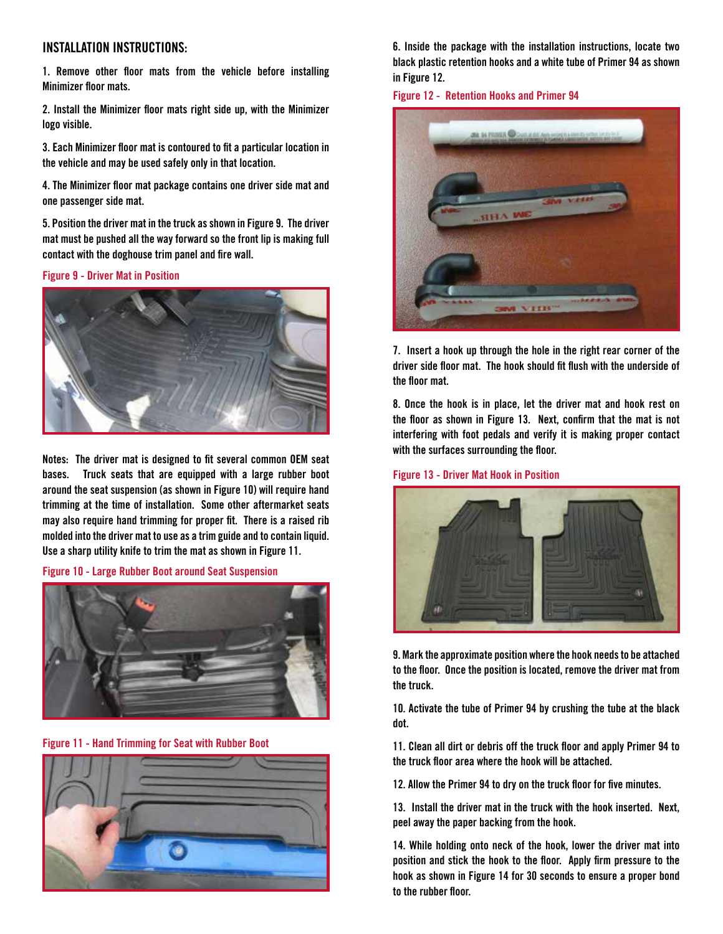# **INSTALLATION INSTRUCTIONS:**

**1. Remove other floor mats from the vehicle before installing Minimizer floor mats.**

**2. Install the Minimizer floor mats right side up, with the Minimizer logo visible.**

**3. Each Minimizer floor mat is contoured to fit a particular location in the vehicle and may be used safely only in that location.**

**4. The Minimizer floor mat package contains one driver side mat and one passenger side mat.** 

**5. Position the driver mat in the truck as shown in Figure 9. The driver mat must be pushed all the way forward so the front lip is making full contact with the doghouse trim panel and fire wall.** 

**Figure 9 - Driver Mat in Position**



**Notes: The driver mat is designed to fit several common OEM seat bases. Truck seats that are equipped with a large rubber boot around the seat suspension (as shown in Figure 10) will require hand trimming at the time of installation. Some other aftermarket seats may also require hand trimming for proper fit. There is a raised rib molded into the driver mat to use as a trim guide and to contain liquid. Use a sharp utility knife to trim the mat as shown in Figure 11.** 

**Figure 10 - Large Rubber Boot around Seat Suspension**



**Figure 11 - Hand Trimming for Seat with Rubber Boot**



**6. Inside the package with the installation instructions, locate two black plastic retention hooks and a white tube of Primer 94 as shown in Figure 12.**

**Figure 12 - Retention Hooks and Primer 94**



**7. Insert a hook up through the hole in the right rear corner of the driver side floor mat. The hook should fit flush with the underside of the floor mat.** 

**8. Once the hook is in place, let the driver mat and hook rest on the floor as shown in Figure 13. Next, confirm that the mat is not interfering with foot pedals and verify it is making proper contact with the surfaces surrounding the floor.**

**Figure 13 - Driver Mat Hook in Position**



**9. Mark the approximate position where the hook needs to be attached to the floor. Once the position is located, remove the driver mat from the truck.**

**10. Activate the tube of Primer 94 by crushing the tube at the black dot.**

**11. Clean all dirt or debris off the truck floor and apply Primer 94 to the truck floor area where the hook will be attached.**

**12. Allow the Primer 94 to dry on the truck floor for five minutes.** 

**13. Install the driver mat in the truck with the hook inserted. Next, peel away the paper backing from the hook.**

**14. While holding onto neck of the hook, lower the driver mat into position and stick the hook to the floor. Apply firm pressure to the hook as shown in Figure 14 for 30 seconds to ensure a proper bond to the rubber floor.**